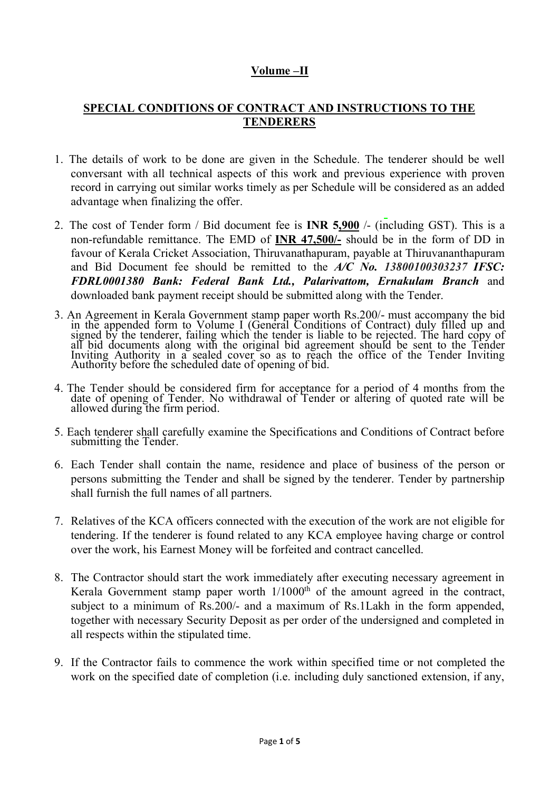## **Volume –II**

## **SPECIAL CONDITIONS OF CONTRACT AND INSTRUCTIONS TO THE TENDERERS**

- 1. The details of work to be done are given in the Schedule. The tenderer should be well conversant with all technical aspects of this work and previous experience with proven record in carrying out similar works timely as per Schedule will be considered as an added advantage when finalizing the offer.
- 2. The cost of Tender form / Bid document fee is **INR 5,900** /- (including GST). This is a non-refundable remittance. The EMD of **INR 47,500/-** should be in the form of DD in favour of Kerala Cricket Association, Thiruvanathapuram, payable at Thiruvananthapuram and Bid Document fee should be remitted to the *A/C No. 13800100303237 IFSC: FDRL0001380 Bank: Federal Bank Ltd., Palarivattom, Ernakulam Branch* and downloaded bank payment receipt should be submitted along with the Tender.
- 3. An Agreement in Kerala Government stamp paper worth Rs.200/- must accompany the bid in the appended form to Volume I (General Conditions of Contract) duly filled up and signed by the tenderer, failing which the tender is liable to be rejected. The hard copy of all bid documents along with the original bid agreement should be sent to the Tender Inviting Authority in a sealed cover so as to reach the office of the Tender Inviting Authority before the scheduled date of opening of bid.
- 4. The Tender should be considered firm for acceptance for a period of 4 months from the date of opening of Tender. No withdrawal of Tender or altering of quoted rate will be allowed during the firm period.
- 5. Each tenderer shall carefully examine the Specifications and Conditions of Contract before submitting the Tender.
- 6. Each Tender shall contain the name, residence and place of business of the person or persons submitting the Tender and shall be signed by the tenderer. Tender by partnership shall furnish the full names of all partners.
- 7. Relatives of the KCA officers connected with the execution of the work are not eligible for tendering. If the tenderer is found related to any KCA employee having charge or control over the work, his Earnest Money will be forfeited and contract cancelled.
- 8. The Contractor should start the work immediately after executing necessary agreement in Kerala Government stamp paper worth  $1/1000<sup>th</sup>$  of the amount agreed in the contract, subject to a minimum of Rs.200/- and a maximum of Rs.1Lakh in the form appended, together with necessary Security Deposit as per order of the undersigned and completed in all respects within the stipulated time.
- 9. If the Contractor fails to commence the work within specified time or not completed the work on the specified date of completion (i.e. including duly sanctioned extension, if any,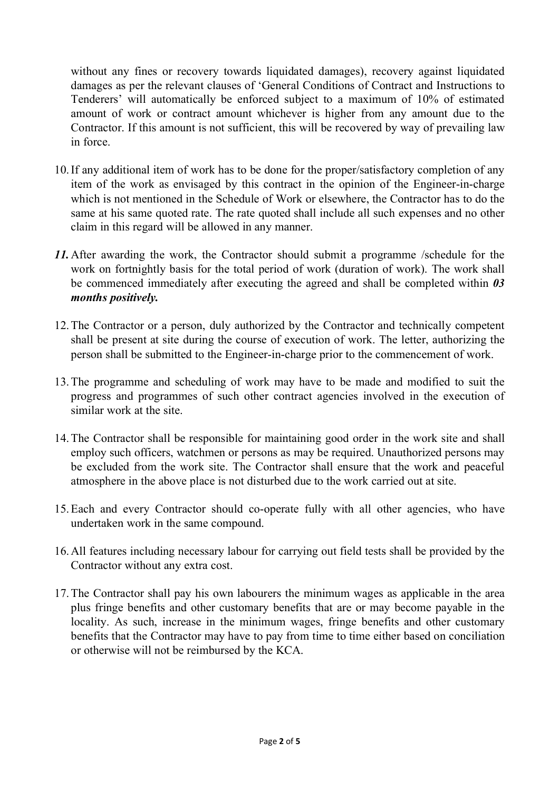without any fines or recovery towards liquidated damages), recovery against liquidated damages as per the relevant clauses of 'General Conditions of Contract and Instructions to Tenderers' will automatically be enforced subject to a maximum of 10% of estimated amount of work or contract amount whichever is higher from any amount due to the Contractor. If this amount is not sufficient, this will be recovered by way of prevailing law in force.

- 10.If any additional item of work has to be done for the proper/satisfactory completion of any item of the work as envisaged by this contract in the opinion of the Engineer-in-charge which is not mentioned in the Schedule of Work or elsewhere, the Contractor has to do the same at his same quoted rate. The rate quoted shall include all such expenses and no other claim in this regard will be allowed in any manner.
- *11.*After awarding the work, the Contractor should submit a programme /schedule for the work on fortnightly basis for the total period of work (duration of work). The work shall be commenced immediately after executing the agreed and shall be completed within *03 months positively.*
- 12.The Contractor or a person, duly authorized by the Contractor and technically competent shall be present at site during the course of execution of work. The letter, authorizing the person shall be submitted to the Engineer-in-charge prior to the commencement of work.
- 13.The programme and scheduling of work may have to be made and modified to suit the progress and programmes of such other contract agencies involved in the execution of similar work at the site.
- 14.The Contractor shall be responsible for maintaining good order in the work site and shall employ such officers, watchmen or persons as may be required. Unauthorized persons may be excluded from the work site. The Contractor shall ensure that the work and peaceful atmosphere in the above place is not disturbed due to the work carried out at site.
- 15.Each and every Contractor should co-operate fully with all other agencies, who have undertaken work in the same compound.
- 16.All features including necessary labour for carrying out field tests shall be provided by the Contractor without any extra cost.
- 17.The Contractor shall pay his own labourers the minimum wages as applicable in the area plus fringe benefits and other customary benefits that are or may become payable in the locality. As such, increase in the minimum wages, fringe benefits and other customary benefits that the Contractor may have to pay from time to time either based on conciliation or otherwise will not be reimbursed by the KCA.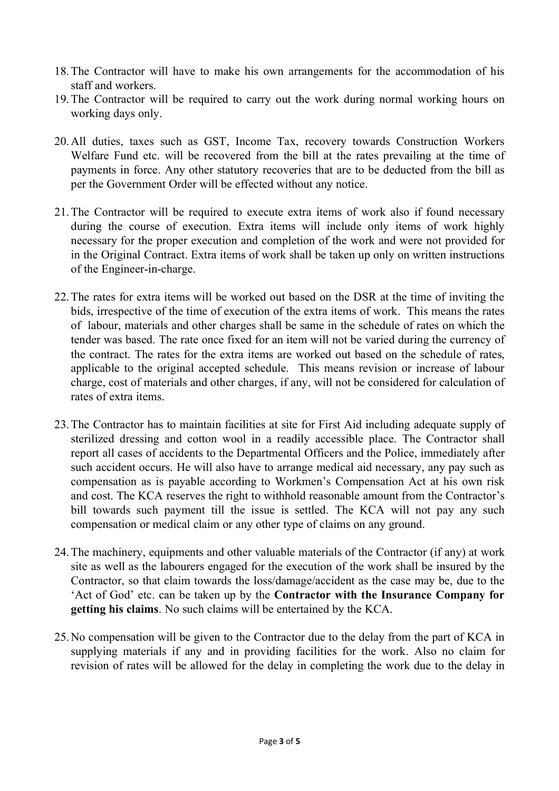- 18.The Contractor will have to make his own arrangements for the accommodation of his staff and workers.
- 19.The Contractor will be required to carry out the work during normal working hours on working days only.
- 20.All duties, taxes such as GST, Income Tax, recovery towards Construction Workers Welfare Fund etc. will be recovered from the bill at the rates prevailing at the time of payments in force. Any other statutory recoveries that are to be deducted from the bill as per the Government Order will be effected without any notice.
- 21.The Contractor will be required to execute extra items of work also if found necessary during the course of execution. Extra items will include only items of work highly necessary for the proper execution and completion of the work and were not provided for in the Original Contract. Extra items of work shall be taken up only on written instructions of the Engineer-in-charge.
- 22.The rates for extra items will be worked out based on the DSR at the time of inviting the bids, irrespective of the time of execution of the extra items of work. This means the rates of labour, materials and other charges shall be same in the schedule of rates on which the tender was based. The rate once fixed for an item will not be varied during the currency of the contract. The rates for the extra items are worked out based on the schedule of rates, applicable to the original accepted schedule. This means revision or increase of labour charge, cost of materials and other charges, if any, will not be considered for calculation of rates of extra items.
- 23.The Contractor has to maintain facilities at site for First Aid including adequate supply of sterilized dressing and cotton wool in a readily accessible place. The Contractor shall report all cases of accidents to the Departmental Officers and the Police, immediately after such accident occurs. He will also have to arrange medical aid necessary, any pay such as compensation as is payable according to Workmen's Compensation Act at his own risk and cost. The KCA reserves the right to withhold reasonable amount from the Contractor's bill towards such payment till the issue is settled. The KCA will not pay any such compensation or medical claim or any other type of claims on any ground.
- 24.The machinery, equipments and other valuable materials of the Contractor (if any) at work site as well as the labourers engaged for the execution of the work shall be insured by the Contractor, so that claim towards the loss/damage/accident as the case may be, due to the 'Act of God' etc. can be taken up by the **Contractor with the Insurance Company for getting his claims**. No such claims will be entertained by the KCA.
- 25.No compensation will be given to the Contractor due to the delay from the part of KCA in supplying materials if any and in providing facilities for the work. Also no claim for revision of rates will be allowed for the delay in completing the work due to the delay in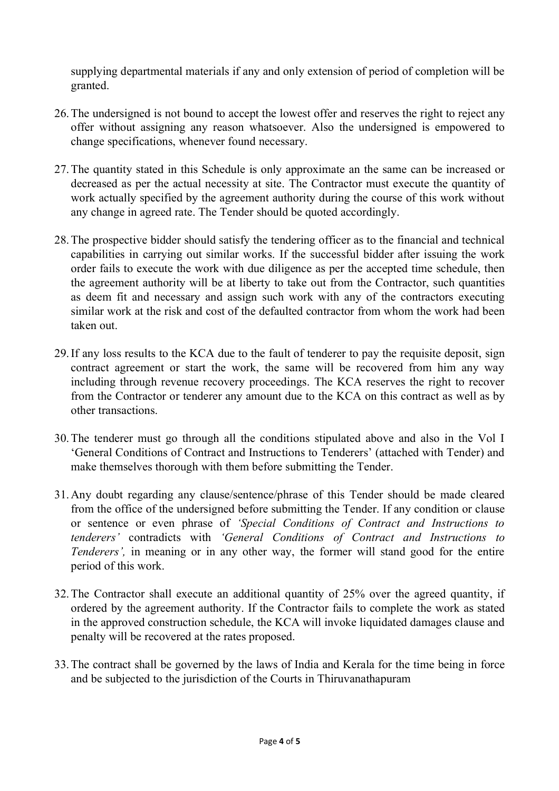supplying departmental materials if any and only extension of period of completion will be granted.

- 26.The undersigned is not bound to accept the lowest offer and reserves the right to reject any offer without assigning any reason whatsoever. Also the undersigned is empowered to change specifications, whenever found necessary.
- 27.The quantity stated in this Schedule is only approximate an the same can be increased or decreased as per the actual necessity at site. The Contractor must execute the quantity of work actually specified by the agreement authority during the course of this work without any change in agreed rate. The Tender should be quoted accordingly.
- 28.The prospective bidder should satisfy the tendering officer as to the financial and technical capabilities in carrying out similar works. If the successful bidder after issuing the work order fails to execute the work with due diligence as per the accepted time schedule, then the agreement authority will be at liberty to take out from the Contractor, such quantities as deem fit and necessary and assign such work with any of the contractors executing similar work at the risk and cost of the defaulted contractor from whom the work had been taken out.
- 29.If any loss results to the KCA due to the fault of tenderer to pay the requisite deposit, sign contract agreement or start the work, the same will be recovered from him any way including through revenue recovery proceedings. The KCA reserves the right to recover from the Contractor or tenderer any amount due to the KCA on this contract as well as by other transactions.
- 30.The tenderer must go through all the conditions stipulated above and also in the Vol I 'General Conditions of Contract and Instructions to Tenderers' (attached with Tender) and make themselves thorough with them before submitting the Tender.
- 31.Any doubt regarding any clause/sentence/phrase of this Tender should be made cleared from the office of the undersigned before submitting the Tender. If any condition or clause or sentence or even phrase of *'Special Conditions of Contract and Instructions to tenderers'* contradicts with *'General Conditions of Contract and Instructions to Tenderers'*, in meaning or in any other way, the former will stand good for the entire period of this work.
- 32.The Contractor shall execute an additional quantity of 25% over the agreed quantity, if ordered by the agreement authority. If the Contractor fails to complete the work as stated in the approved construction schedule, the KCA will invoke liquidated damages clause and penalty will be recovered at the rates proposed.
- 33.The contract shall be governed by the laws of India and Kerala for the time being in force and be subjected to the jurisdiction of the Courts in Thiruvanathapuram